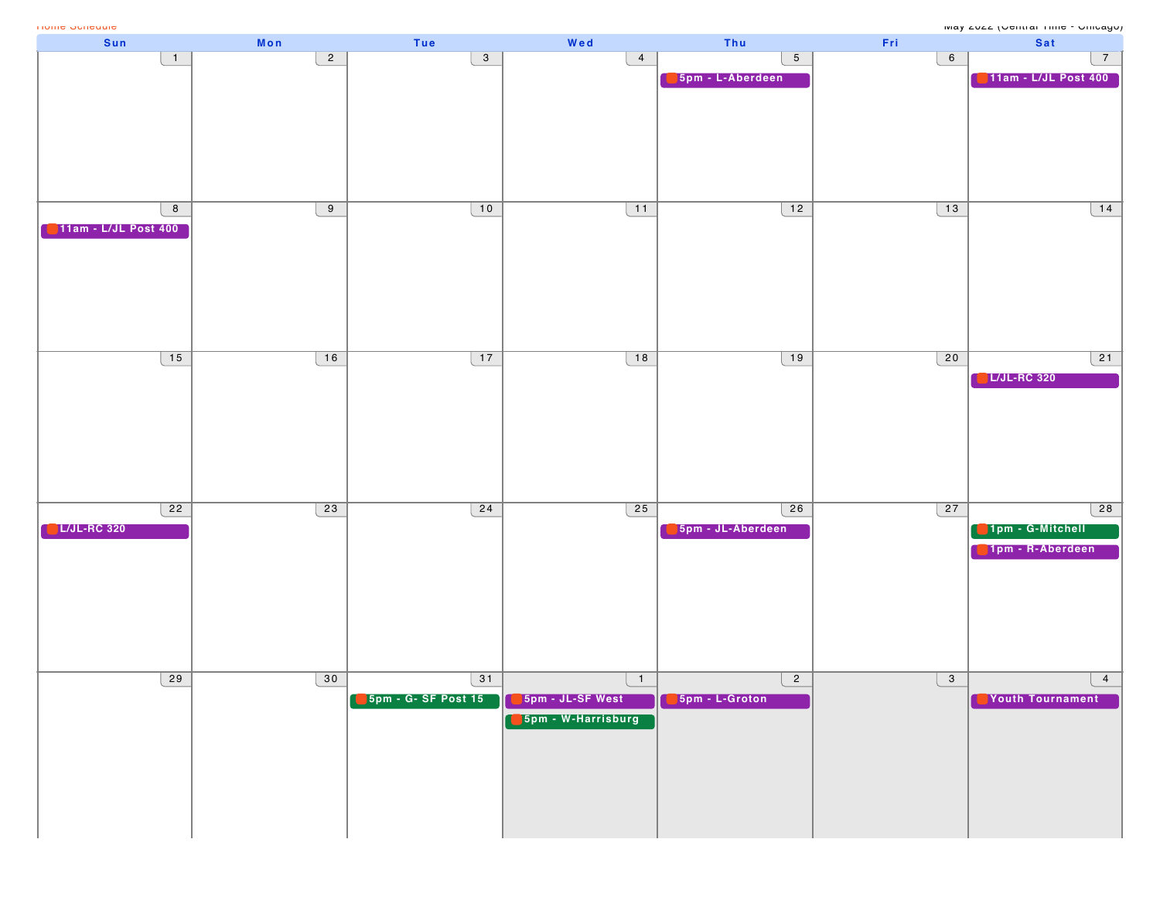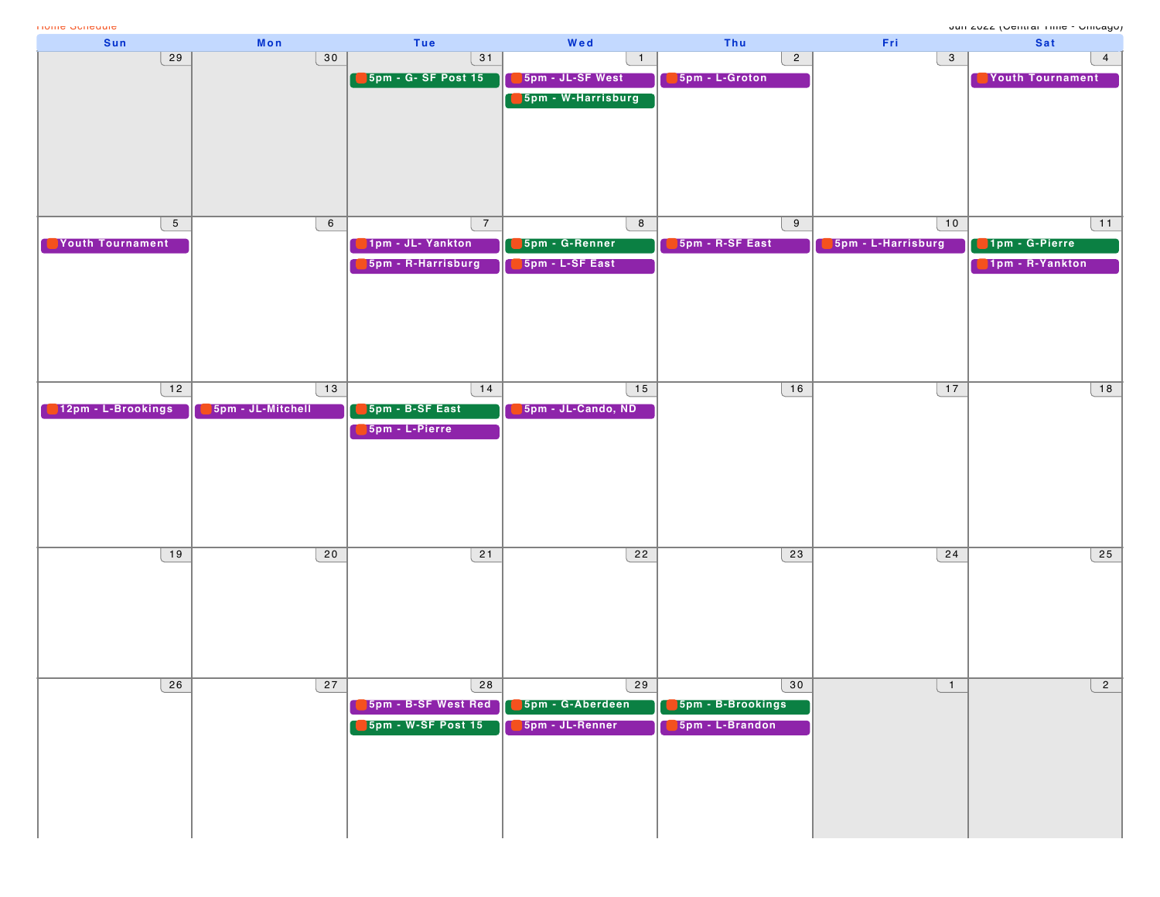